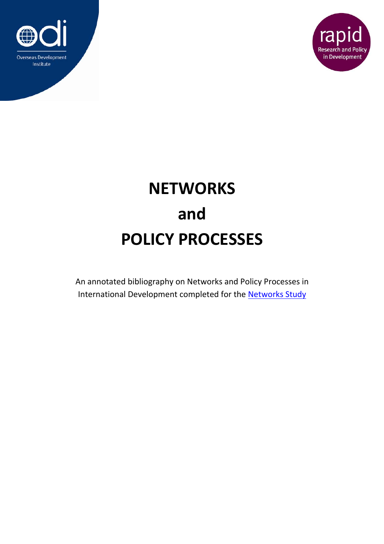



## **NETWORKS and POLICY PROCESSES**

An annotated bibliography on Networks and Policy Processes in International Development completed for the Networks Study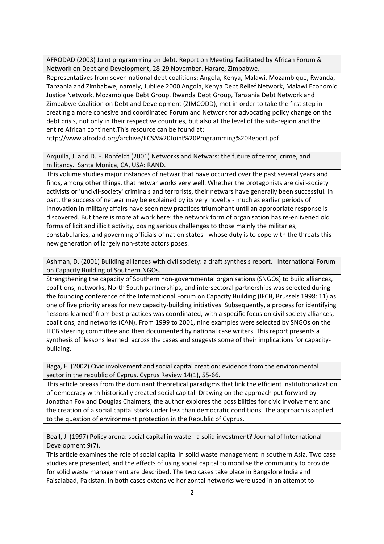AFRODAD (2003) Joint programming on debt. Report on Meeting facilitated by African Forum & Network on Debt and Development, 28‐29 November. Harare, Zimbabwe.

Representatives from seven national debt coalitions: Angola, Kenya, Malawi, Mozambique, Rwanda, Tanzania and Zimbabwe, namely, Jubilee 2000 Angola, Kenya Debt Relief Network, Malawi Economic Justice Network, Mozambique Debt Group, Rwanda Debt Group, Tanzania Debt Network and Zimbabwe Coalition on Debt and Development (ZIMCODD), met in order to take the first step in creating a more cohesive and coordinated Forum and Network for advocating policy change on the debt crisis, not only in their respective countries, but also at the level of the sub-region and the entire African continent.This resource can be found at:

http://www.afrodad.org/archive/ECSA%20Joint%20Programming%20Report.pdf

Arquilla, J. and D. F. Ronfeldt (2001) Networks and Netwars: the future of terror, crime, and militancy. Santa Monica, CA, USA: RAND.

This volume studies major instances of netwar that have occurred over the past several years and finds, among other things, that netwar works very well. Whether the protagonists are civil‐society activists or 'uncivil-society' criminals and terrorists, their netwars have generally been successful. In part, the success of netwar may be explained by its very novelty - much as earlier periods of innovation in military affairs have seen new practices triumphant until an appropriate response is discovered. But there is more at work here: the network form of organisation has re‐enlivened old forms of licit and illicit activity, posing serious challenges to those mainly the militaries, constabularies, and governing officials of nation states ‐ whose duty is to cope with the threats this new generation of largely non‐state actors poses.

Ashman, D. (2001) Building alliances with civil society: a draft synthesis report. International Forum on Capacity Building of Southern NGOs.

Strengthening the capacity of Southern non‐governmental organisations (SNGOs) to build alliances, coalitions, networks, North South partnerships, and intersectoral partnerships was selected during the founding conference of the International Forum on Capacity Building (IFCB, Brussels 1998: 11) as one of five priority areas for new capacity‐building initiatives. Subsequently, a process for identifying 'lessons learned' from best practices was coordinated, with a specific focus on civil society alliances, coalitions, and networks (CAN). From 1999 to 2001, nine examples were selected by SNGOs on the IFCB steering committee and then documented by national case writers. This report presents a synthesis of 'lessons learned' across the cases and suggests some of their implications for capacitybuilding.

Baga, E. (2002) Civic involvement and social capital creation: evidence from the environmental sector in the republic of Cyprus. Cyprus Review 14(1), 55‐66.

This article breaks from the dominant theoretical paradigms that link the efficient institutionalization of democracy with historically created social capital. Drawing on the approach put forward by Jonathan Fox and Douglas Chalmers, the author explores the possibilities for civic involvement and the creation of a social capital stock under less than democratic conditions. The approach is applied to the question of environment protection in the Republic of Cyprus.

Beall, J. (1997) Policy arena: social capital in waste ‐ a solid investment? Journal of International Development 9(7).

This article examines the role of social capital in solid waste management in southern Asia. Two case studies are presented, and the effects of using social capital to mobilise the community to provide for solid waste management are described. The two cases take place in Bangalore India and Faisalabad, Pakistan. In both cases extensive horizontal networks were used in an attempt to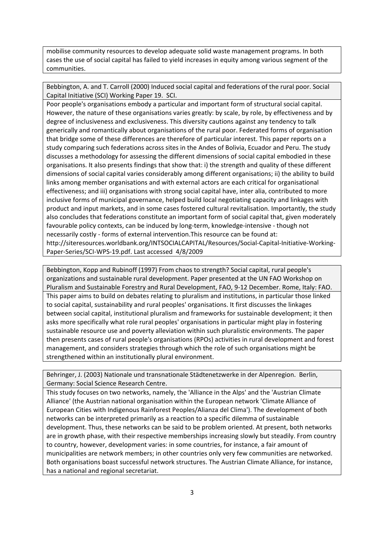mobilise community resources to develop adequate solid waste management programs. In both cases the use of social capital has failed to yield increases in equity among various segment of the communities.

Bebbington, A. and T. Carroll (2000) Induced social capital and federations of the rural poor. Social Capital Initiative (SCI) Working Paper 19. SCI.

Poor people's organisations embody a particular and important form of structural social capital. However, the nature of these organisations varies greatly: by scale, by role, by effectiveness and by degree of inclusiveness and exclusiveness. This diversity cautions against any tendency to talk generically and romantically about organisations of the rural poor. Federated forms of organisation that bridge some of these differences are therefore of particular interest. This paper reports on a study comparing such federations across sites in the Andes of Bolivia, Ecuador and Peru. The study discusses a methodology for assessing the different dimensions of social capital embodied in these organisations. It also presents findings that show that: i) the strength and quality of these different dimensions of social capital varies considerably among different organisations; ii) the ability to build links among member organisations and with external actors are each critical for organisational effectiveness; and iii) organisations with strong social capital have, inter alia, contributed to more inclusive forms of municipal governance, helped build local negotiating capacity and linkages with product and input markets, and in some cases fostered cultural revitalisation. Importantly, the study also concludes that federations constitute an important form of social capital that, given moderately favourable policy contexts, can be induced by long-term, knowledge-intensive - though not necessarily costly ‐ forms of external intervention.This resource can be found at: http://siteresources.worldbank.org/INTSOCIALCAPITAL/Resources/Social‐Capital‐Initiative‐Working‐ Paper‐Series/SCI‐WPS‐19.pdf. Last accessed 4/8/2009

Bebbington, Kopp and Rubinoff (1997) From chaos to strength? Social capital, rural people's organizations and sustainable rural development. Paper presented at the UN FAO Workshop on Pluralism and Sustainable Forestry and Rural Development, FAO, 9‐12 December. Rome, Italy: FAO. This paper aims to build on debates relating to pluralism and institutions, in particular those linked to social capital, sustainability and rural peoples' organisations. It first discusses the linkages between social capital, institutional pluralism and frameworks for sustainable development; it then asks more specifically what role rural peoples' organisations in particular might play in fostering sustainable resource use and poverty alleviation within such pluralistic environments. The paper then presents cases of rural people's organisations (RPOs) activities in rural development and forest management, and considers strategies through which the role of such organisations might be strengthened within an institutionally plural environment.

Behringer, J. (2003) Nationale und transnationale Städtenetzwerke in der Alpenregion. Berlin, Germany: Social Science Research Centre.

This study focuses on two networks, namely, the 'Alliance in the Alps' and the 'Austrian Climate Alliance' (the Austrian national organisation within the European network 'Climate Alliance of European Cities with Indigenous Rainforest Peoples/Alianza del Clima'). The development of both networks can be interpreted primarily as a reaction to a specific dilemma of sustainable development. Thus, these networks can be said to be problem oriented. At present, both networks are in growth phase, with their respective memberships increasing slowly but steadily. From country to country, however, development varies: in some countries, for instance, a fair amount of municipalities are network members; in other countries only very few communities are networked. Both organisations boast successful network structures. The Austrian Climate Alliance, for instance, has a national and regional secretariat.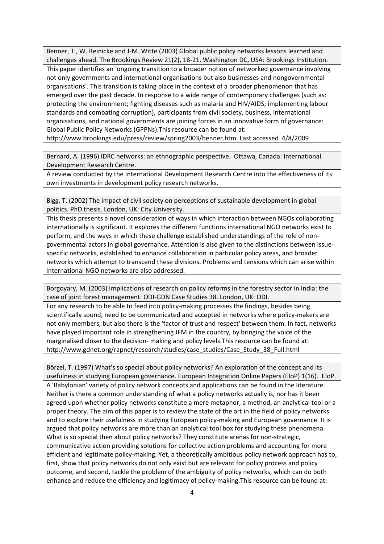Benner, T., W. Reinicke and J-M. Witte (2003) Global public policy networks lessons learned and challenges ahead. The Brookings Review 21(2), 18‐21. Washington DC, USA: Brookings Institution. This paper identifies an 'ongoing transition to a broader notion of networked governance involving not only governments and international organisations but also businesses and nongovernmental organisations'. This transition is taking place in the context of a broader phenomenon that has emerged over the past decade. In response to a wide range of contemporary challenges (such as: protecting the environment; fighting diseases such as malaria and HIV/AIDS; implementing labour standards and combating corruption), participants from civil society, business, international organisations, and national governments are joining forces in an innovative form of governance: Global Public Policy Networks (GPPNs).This resource can be found at:

http://www.brookings.edu/press/review/spring2003/benner.htm. Last accessed 4/8/2009

Bernard, A. (1996) IDRC networks: an ethnographic perspective. Ottawa, Canada: International Development Research Centre.

A review conducted by the International Development Research Centre into the effectiveness of its own investments in development policy research networks.

Bigg, T. (2002) The impact of civil society on perceptions of sustainable development in global politics. PhD thesis. London, UK: City University.

This thesis presents a novel consideration of ways in which interaction between NGOs collaborating internationally is significant. It explores the different functions international NGO networks exist to perform, and the ways in which these challenge established understandings of the role of non‐ governmental actors in global governance. Attention is also given to the distinctions between issue‐ specific networks, established to enhance collaboration in particular policy areas, and broader networks which attempt to transcend these divisions. Problems and tensions which can arise within international NGO networks are also addressed.

Borgoyary, M. (2003) Implications of research on policy reforms in the forestry sector in India: the case of joint forest management. ODI‐GDN Case Studies 38. London, UK: ODI.

For any research to be able to feed into policy-making processes the findings, besides being scientifically sound, need to be communicated and accepted in networks where policy-makers are not only members, but also there is the 'factor of trust and respect' between them. In fact, networks have played important role in strengthening JFM in the country, by bringing the voice of the marginalised closer to the decision‐ making and policy levels.This resource can be found at: http://www.gdnet.org/rapnet/research/studies/case\_studies/Case\_Study\_38\_Full.html

Börzel, T. (1997) What's so special about policy networks? An exploration of the concept and its usefulness in studying European governance. European Integration Online Papers (EIoP) 1(16). EIoP. A 'Babylonian' variety of policy network concepts and applications can be found in the literature. Neither is there a common understanding of what a policy networks actually is, nor has it been agreed upon whether policy networks constitute a mere metaphor, a method, an analytical tool or a proper theory. The aim of this paper is to review the state of the art in the field of policy networks and to explore their usefulness in studying European policy-making and European governance. It is argued that policy networks are more than an analytical tool box for studying these phenomena. What is so special then about policy networks? They constitute arenas for non-strategic, communicative action providing solutions for collective action problems and accounting for more efficient and legitimate policy‐making. Yet, a theoretically ambitious policy network approach has to, first, show that policy networks do not only exist but are relevant for policy process and policy outcome, and second, tackle the problem of the ambiguity of policy networks, which can do both enhance and reduce the efficiency and legitimacy of policy-making. This resource can be found at: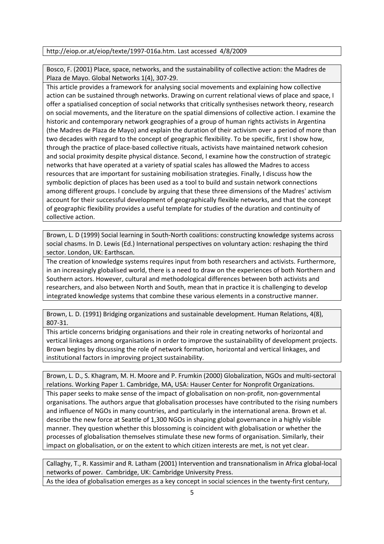## http://eiop.or.at/eiop/texte/1997‐016a.htm. Last accessed 4/8/2009

Bosco, F. (2001) Place, space, networks, and the sustainability of collective action: the Madres de Plaza de Mayo. Global Networks 1(4), 307‐29.

This article provides a framework for analysing social movements and explaining how collective action can be sustained through networks. Drawing on current relational views of place and space, I offer a spatialised conception of social networks that critically synthesises network theory, research on social movements, and the literature on the spatial dimensions of collective action. I examine the historic and contemporary network geographies of a group of human rights activists in Argentina (the Madres de Plaza de Mayo) and explain the duration of their activism over a period of more than two decades with regard to the concept of geographic flexibility. To be specific, first I show how, through the practice of place‐based collective rituals, activists have maintained network cohesion and social proximity despite physical distance. Second, I examine how the construction of strategic networks that have operated at a variety of spatial scales has allowed the Madres to access resources that are important for sustaining mobilisation strategies. Finally, I discuss how the symbolic depiction of places has been used as a tool to build and sustain network connections among different groups. I conclude by arguing that these three dimensions of the Madres' activism account for their successful development of geographically flexible networks, and that the concept of geographic flexibility provides a useful template for studies of the duration and continuity of collective action.

Brown, L. D (1999) Social learning in South‐North coalitions: constructing knowledge systems across social chasms. In D. Lewis (Ed.) International perspectives on voluntary action: reshaping the third sector. London, UK: Earthscan.

The creation of knowledge systems requires input from both researchers and activists. Furthermore, in an increasingly globalised world, there is a need to draw on the experiences of both Northern and Southern actors. However, cultural and methodological differences between both activists and researchers, and also between North and South, mean that in practice it is challenging to develop integrated knowledge systems that combine these various elements in a constructive manner.

Brown, L. D. (1991) Bridging organizations and sustainable development. Human Relations, 4(8), 807‐31.

This article concerns bridging organisations and their role in creating networks of horizontal and vertical linkages among organisations in order to improve the sustainability of development projects. Brown begins by discussing the role of network formation, horizontal and vertical linkages, and institutional factors in improving project sustainability.

Brown, L. D., S. Khagram, M. H. Moore and P. Frumkin (2000) Globalization, NGOs and multi‐sectoral relations. Working Paper 1. Cambridge, MA, USA: Hauser Center for Nonprofit Organizations. This paper seeks to make sense of the impact of globalisation on non‐profit, non‐governmental organisations. The authors argue that globalisation processes have contributed to the rising numbers and influence of NGOs in many countries, and particularly in the international arena. Brown et al. describe the new force at Seattle of 1,300 NGOs in shaping global governance in a highly visible manner. They question whether this blossoming is coincident with globalisation or whether the processes of globalisation themselves stimulate these new forms of organisation. Similarly, their impact on globalisation, or on the extent to which citizen interests are met, is not yet clear.

Callaghy, T., R. Kassimir and R. Latham (2001) Intervention and transnationalism in Africa global‐local networks of power. Cambridge, UK: Cambridge University Press. As the idea of globalisation emerges as a key concept in social sciences in the twenty‐first century,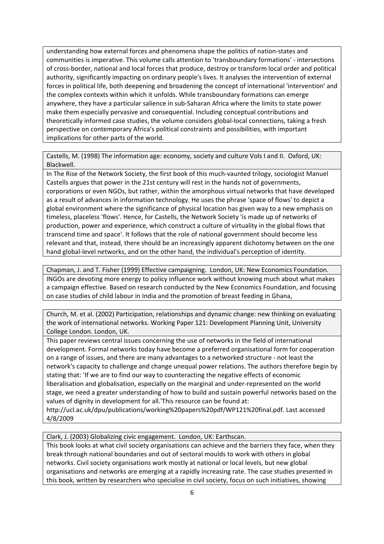understanding how external forces and phenomena shape the politics of nation‐states and communities is imperative. This volume calls attention to 'transboundary formations' ‐ intersections of cross‐border, national and local forces that produce, destroy or transform local order and political authority, significantly impacting on ordinary people's lives. It analyses the intervention of external forces in political life, both deepening and broadening the concept of international 'intervention' and the complex contexts within which it unfolds. While transboundary formations can emerge anywhere, they have a particular salience in sub‐Saharan Africa where the limits to state power make them especially pervasive and consequential. Including conceptual contributions and theoretically informed case studies, the volume considers global‐local connections, taking a fresh perspective on contemporary Africa's political constraints and possibilities, with important implications for other parts of the world.

Castells, M. (1998) The information age: economy, society and culture Vols I and II. Oxford, UK: Blackwell.

In The Rise of the Network Society, the first book of this much‐vaunted trilogy, sociologist Manuel Castells argues that power in the 21st century will rest in the hands not of governments, corporations or even NGOs, but rather, within the amorphous virtual networks that have developed as a result of advances in information technology. He uses the phrase 'space of flows' to depict a global environment where the significance of physical location has given way to a new emphasis on timeless, placeless 'flows'. Hence, for Castells, the Network Society 'is made up of networks of production, power and experience, which construct a culture of virtuality in the global flows that transcend time and space'. It follows that the role of national government should become less relevant and that, instead, there should be an increasingly apparent dichotomy between on the one hand global-level networks, and on the other hand, the individual's perception of identity.

Chapman, J. and T. Fisher (1999) Effective campaigning. London, UK: New Economics Foundation. INGOs are devoting more energy to policy influence work without knowing much about what makes a campaign effective. Based on research conducted by the New Economics Foundation, and focusing on case studies of child labour in India and the promotion of breast feeding in Ghana,

Church, M. et al. (2002) Participation, relationships and dynamic change: new thinking on evaluating the work of international networks. Working Paper 121: Development Planning Unit, University College London. London, UK.

This paper reviews central issues concerning the use of networks in the field of international development. Formal networks today have become a preferred organisational form for cooperation on a range of issues, and there are many advantages to a networked structure ‐ not least the network's capacity to challenge and change unequal power relations. The authors therefore begin by stating that: 'If we are to find our way to counteracting the negative effects of economic liberalisation and globalisation, especially on the marginal and under‐represented on the world stage, we need a greater understanding of how to build and sustain powerful networks based on the values of dignity in development for all.'This resource can be found at: http://ucl.ac.uk/dpu/publications/working%20papers%20pdf/WP121%20final.pdf. Last accessed

4/8/2009

Clark, J. (2003) Globalizing civic engagement. London, UK: Earthscan.

This book looks at what civil society organisations can achieve and the barriers they face, when they break through national boundaries and out of sectoral moulds to work with others in global networks. Civil society organisations work mostly at national or local levels, but new global organisations and networks are emerging at a rapidly increasing rate. The case studies presented in this book, written by researchers who specialise in civil society, focus on such initiatives, showing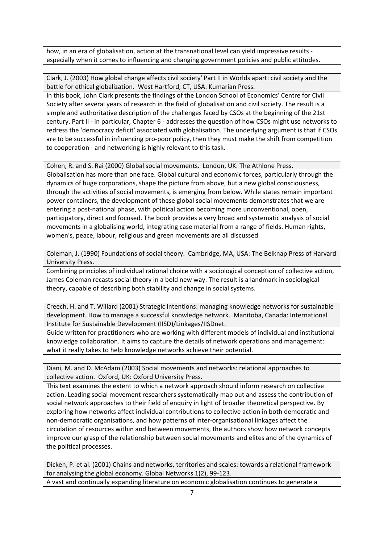how, in an era of globalisation, action at the transnational level can yield impressive results especially when it comes to influencing and changing government policies and public attitudes.

Clark, J. (2003) How global change affects civil society' Part II in Worlds apart: civil society and the battle for ethical globalization. West Hartford, CT, USA: Kumarian Press.

In this book, John Clark presents the findings of the London School of Economics' Centre for Civil Society after several years of research in the field of globalisation and civil society. The result is a simple and authoritative description of the challenges faced by CSOs at the beginning of the 21st century. Part II ‐ in particular, Chapter 6 ‐ addresses the question of how CSOs might use networks to redress the 'democracy deficit' associated with globalisation. The underlying argument is that if CSOs are to be successful in influencing pro-poor policy, then they must make the shift from competition to cooperation ‐ and networking is highly relevant to this task.

Cohen, R. and S. Rai (2000) Global social movements. London, UK: The Athlone Press.

Globalisation has more than one face. Global cultural and economic forces, particularly through the dynamics of huge corporations, shape the picture from above, but a new global consciousness, through the activities of social movements, is emerging from below. While states remain important power containers, the development of these global social movements demonstrates that we are entering a post-national phase, with political action becoming more unconventional, open, participatory, direct and focused. The book provides a very broad and systematic analysis of social movements in a globalising world, integrating case material from a range of fields. Human rights, women's, peace, labour, religious and green movements are all discussed.

Coleman, J. (1990) Foundations of social theory. Cambridge, MA, USA: The Belknap Press of Harvard University Press.

Combining principles of individual rational choice with a sociological conception of collective action, James Coleman recasts social theory in a bold new way. The result is a landmark in sociological theory, capable of describing both stability and change in social systems.

Creech, H. and T. Willard (2001) Strategic intentions: managing knowledge networks for sustainable development. How to manage a successful knowledge network. Manitoba, Canada: International Institute for Sustainable Development (IISD)/Linkages/IISDnet.

Guide written for practitioners who are working with different models of individual and institutional knowledge collaboration. It aims to capture the details of network operations and management: what it really takes to help knowledge networks achieve their potential.

Diani, M. and D. McAdam (2003) Social movements and networks: relational approaches to collective action. Oxford, UK: Oxford University Press.

This text examines the extent to which a network approach should inform research on collective action. Leading social movement researchers systematically map out and assess the contribution of social network approaches to their field of enquiry in light of broader theoretical perspective. By exploring how networks affect individual contributions to collective action in both democratic and non‐democratic organisations, and how patterns of inter‐organisational linkages affect the circulation of resources within and between movements, the authors show how network concepts improve our grasp of the relationship between social movements and elites and of the dynamics of the political processes.

Dicken, P. et al. (2001) Chains and networks, territories and scales: towards a relational framework for analysing the global economy. Global Networks 1(2), 99‐123.

A vast and continually expanding literature on economic globalisation continues to generate a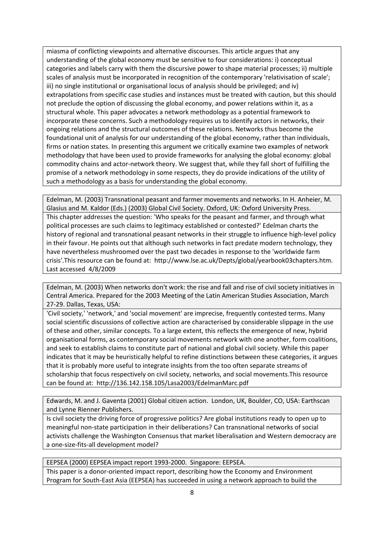miasma of conflicting viewpoints and alternative discourses. This article argues that any understanding of the global economy must be sensitive to four considerations: i) conceptual categories and labels carry with them the discursive power to shape material processes; ii) multiple scales of analysis must be incorporated in recognition of the contemporary 'relativisation of scale'; iii) no single institutional or organisational locus of analysis should be privileged; and iv) extrapolations from specific case studies and instances must be treated with caution, but this should not preclude the option of discussing the global economy, and power relations within it, as a structural whole. This paper advocates a network methodology as a potential framework to incorporate these concerns. Such a methodology requires us to identify actors in networks, their ongoing relations and the structural outcomes of these relations. Networks thus become the foundational unit of analysis for our understanding of the global economy, rather than individuals, firms or nation states. In presenting this argument we critically examine two examples of network methodology that have been used to provide frameworks for analysing the global economy: global commodity chains and actor‐network theory. We suggest that, while they fall short of fulfilling the promise of a network methodology in some respects, they do provide indications of the utility of such a methodology as a basis for understanding the global economy.

Edelman, M. (2003) Transnational peasant and farmer movements and networks. In H. Anheier, M. Glasius and M. Kaldor (Eds.) (2003) Global Civil Society. Oxford, UK: Oxford University Press. This chapter addresses the question: 'Who speaks for the peasant and farmer, and through what political processes are such claims to legitimacy established or contested?' Edelman charts the history of regional and transnational peasant networks in their struggle to influence high-level policy in their favour. He points out that although such networks in fact predate modern technology, they have nevertheless mushroomed over the past two decades in response to the 'worldwide farm crisis'.This resource can be found at: http://www.lse.ac.uk/Depts/global/yearbook03chapters.htm. Last accessed 4/8/2009

Edelman, M. (2003) When networks don't work: the rise and fall and rise of civil society initiatives in Central America. Prepared for the 2003 Meeting of the Latin American Studies Association, March 27‐29. Dallas, Texas, USA:

'Civil society,' 'network,' and 'social movement' are imprecise, frequently contested terms. Many social scientific discussions of collective action are characterised by considerable slippage in the use of these and other, similar concepts. To a large extent, this reflects the emergence of new, hybrid organisational forms, as contemporary social movements network with one another, form coalitions, and seek to establish claims to constitute part of national and global civil society. While this paper indicates that it may be heuristically helpful to refine distinctions between these categories, it argues that it is probably more useful to integrate insights from the too often separate streams of scholarship that focus respectively on civil society, networks, and social movements.This resource can be found at: http://136.142.158.105/Lasa2003/EdelmanMarc.pdf

Edwards, M. and J. Gaventa (2001) Global citizen action. London, UK, Boulder, CO, USA: Earthscan and Lynne Rienner Publishers.

Is civil society the driving force of progressive politics? Are global institutions ready to open up to meaningful non‐state participation in their deliberations? Can transnational networks of social activists challenge the Washington Consensus that market liberalisation and Western democracy are a one‐size‐fits‐all development model?

EEPSEA (2000) EEPSEA impact report 1993‐2000. Singapore: EEPSEA. This paper is a donor-oriented impact report, describing how the Economy and Environment Program for South‐East Asia (EEPSEA) has succeeded in using a network approach to build the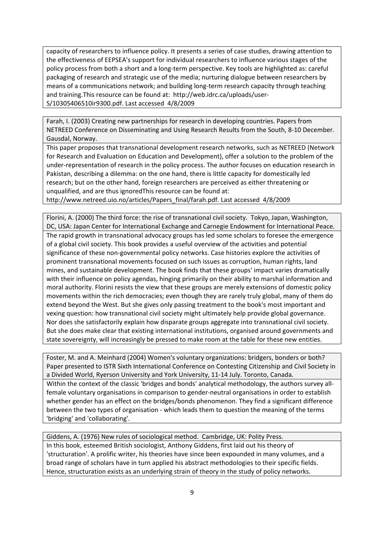capacity of researchers to influence policy. It presents a series of case studies, drawing attention to the effectiveness of EEPSEA's support for individual researchers to influence various stages of the policy process from both a short and a long‐term perspective. Key tools are highlighted as: careful packaging of research and strategic use of the media; nurturing dialogue between researchers by means of a communications network; and building long-term research capacity through teaching and training.This resource can be found at: http://web.idrc.ca/uploads/user‐ S/10305406510ir9300.pdf. Last accessed 4/8/2009

Farah, I. (2003) Creating new partnerships for research in developing countries. Papers from NETREED Conference on Disseminating and Using Research Results from the South, 8‐10 December. Gausdal, Norway.

This paper proposes that transnational development research networks, such as NETREED (Network for Research and Evaluation on Education and Development), offer a solution to the problem of the under‐representation of research in the policy process. The author focuses on education research in Pakistan, describing a dilemma: on the one hand, there is little capacity for domestically led research; but on the other hand, foreign researchers are perceived as either threatening or unqualified, and are thus ignoredThis resource can be found at:

http://www.netreed.uio.no/articles/Papers\_final/farah.pdf. Last accessed 4/8/2009

Florini, A. (2000) The third force: the rise of transnational civil society. Tokyo, Japan, Washington, DC, USA: Japan Center for International Exchange and Carnegie Endowment for International Peace. The rapid growth in transnational advocacy groups has led some scholars to foresee the emergence of a global civil society. This book provides a useful overview of the activities and potential significance of these non‐governmental policy networks. Case histories explore the activities of prominent transnational movements focused on such issues as corruption, human rights, land mines, and sustainable development. The book finds that these groups' impact varies dramatically with their influence on policy agendas, hinging primarily on their ability to marshal information and moral authority. Florini resists the view that these groups are merely extensions of domestic policy movements within the rich democracies; even though they are rarely truly global, many of them do extend beyond the West. But she gives only passing treatment to the book's most important and vexing question: how transnational civil society might ultimately help provide global governance. Nor does she satisfactorily explain how disparate groups aggregate into transnational civil society. But she does make clear that existing international institutions, organised around governments and state sovereignty, will increasingly be pressed to make room at the table for these new entities.

Foster, M. and A. Meinhard (2004) Women's voluntary organizations: bridgers, bonders or both? Paper presented to ISTR Sixth International Conference on Contesting Citizenship and Civil Society in a Divided World, Ryerson University and York University, 11‐14 July. Toronto, Canada. Within the context of the classic 'bridges and bonds' analytical methodology, the authors survey all‐ female voluntary organisations in comparison to gender‐neutral organisations in order to establish whether gender has an effect on the bridges/bonds phenomenon. They find a significant difference between the two types of organisation - which leads them to question the meaning of the terms 'bridging' and 'collaborating'.

Giddens, A. (1976) New rules of sociological method. Cambridge, UK: Polity Press. In this book, esteemed British sociologist, Anthony Giddens, first laid out his theory of 'structuration'. A prolific writer, his theories have since been expounded in many volumes, and a broad range of scholars have in turn applied his abstract methodologies to their specific fields. Hence, structuration exists as an underlying strain of theory in the study of policy networks.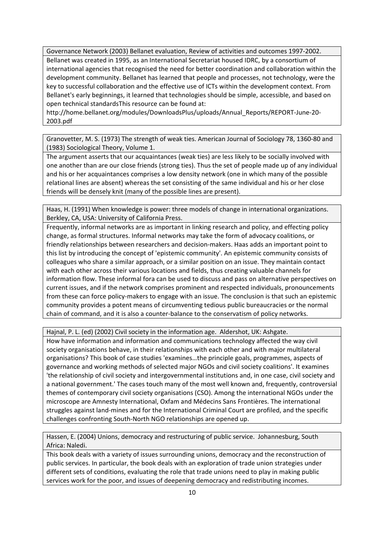Governance Network (2003) Bellanet evaluation, Review of activities and outcomes 1997‐2002. Bellanet was created in 1995, as an International Secretariat housed IDRC, by a consortium of international agencies that recognised the need for better coordination and collaboration within the development community. Bellanet has learned that people and processes, not technology, were the key to successful collaboration and the effective use of ICTs within the development context. From Bellanet's early beginnings, it learned that technologies should be simple, accessible, and based on open technical standardsThis resource can be found at:

http://home.bellanet.org/modules/DownloadsPlus/uploads/Annual\_Reports/REPORT‐June‐20‐ 2003.pdf

Granovetter, M. S. (1973) The strength of weak ties. American Journal of Sociology 78, 1360‐80 and (1983) Sociological Theory, Volume 1.

The argument asserts that our acquaintances (weak ties) are less likely to be socially involved with one another than are our close friends (strong ties). Thus the set of people made up of any individual and his or her acquaintances comprises a low density network (one in which many of the possible relational lines are absent) whereas the set consisting of the same individual and his or her close friends will be densely knit (many of the possible lines are present).

Haas, H. (1991) When knowledge is power: three models of change in international organizations. Berkley, CA, USA: University of California Press.

Frequently, informal networks are as important in linking research and policy, and effecting policy change, as formal structures. Informal networks may take the form of advocacy coalitions, or friendly relationships between researchers and decision‐makers. Haas adds an important point to this list by introducing the concept of 'epistemic community'. An epistemic community consists of colleagues who share a similar approach, or a similar position on an issue. They maintain contact with each other across their various locations and fields, thus creating valuable channels for information flow. These informal fora can be used to discuss and pass on alternative perspectives on current issues, and if the network comprises prominent and respected individuals, pronouncements from these can force policy-makers to engage with an issue. The conclusion is that such an epistemic community provides a potent means of circumventing tedious public bureaucracies or the normal chain of command, and it is also a counter‐balance to the conservatism of policy networks.

Hajnal, P. L. (ed) (2002) Civil society in the information age. Aldershot, UK: Ashgate.

How have information and information and communications technology affected the way civil society organisations behave, in their relationships with each other and with major multilateral organisations? This book of case studies 'examines…the principle goals, programmes, aspects of governance and working methods of selected major NGOs and civil society coalitions'. It examines 'the relationship of civil society and intergovernmental institutions and, in one case, civil society and a national government.' The cases touch many of the most well known and, frequently, controversial themes of contemporary civil society organisations (CSO). Among the international NGOs under the microscope are Amnesty International, Oxfam and Médecins Sans Frontières. The international struggles against land‐mines and for the International Criminal Court are profiled, and the specific challenges confronting South‐North NGO relationships are opened up.

Hassen, E. (2004) Unions, democracy and restructuring of public service. Johannesburg, South Africa: Naledi.

This book deals with a variety of issues surrounding unions, democracy and the reconstruction of public services. In particular, the book deals with an exploration of trade union strategies under different sets of conditions, evaluating the role that trade unions need to play in making public services work for the poor, and issues of deepening democracy and redistributing incomes.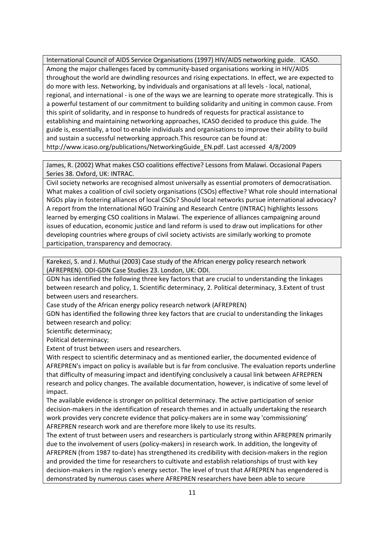International Council of AIDS Service Organisations (1997) HIV/AIDS networking guide. ICASO. Among the major challenges faced by community‐based organisations working in HIV/AIDS throughout the world are dwindling resources and rising expectations. In effect, we are expected to do more with less. Networking, by individuals and organisations at all levels ‐ local, national, regional, and international ‐ is one of the ways we are learning to operate more strategically. This is a powerful testament of our commitment to building solidarity and uniting in common cause. From this spirit of solidarity, and in response to hundreds of requests for practical assistance to establishing and maintaining networking approaches, ICASO decided to produce this guide. The guide is, essentially, a tool to enable individuals and organisations to improve their ability to build and sustain a successful networking approach.This resource can be found at: http://www.icaso.org/publications/NetworkingGuide\_EN.pdf. Last accessed 4/8/2009

James, R. (2002) What makes CSO coalitions effective? Lessons from Malawi. Occasional Papers Series 38. Oxford, UK: INTRAC.

Civil society networks are recognised almost universally as essential promoters of democratisation. What makes a coalition of civil society organisations (CSOs) effective? What role should international NGOs play in fostering alliances of local CSOs? Should local networks pursue international advocacy? A report from the International NGO Training and Research Centre (INTRAC) highlights lessons learned by emerging CSO coalitions in Malawi. The experience of alliances campaigning around issues of education, economic justice and land reform is used to draw out implications for other developing countries where groups of civil society activists are similarly working to promote participation, transparency and democracy.

Karekezi, S. and J. Muthui (2003) Case study of the African energy policy research network (AFREPREN). ODI‐GDN Case Studies 23. London, UK: ODI.

GDN has identified the following three key factors that are crucial to understanding the linkages between research and policy, 1. Scientific determinacy, 2. Political determinacy, 3.Extent of trust between users and researchers.

Case study of the African energy policy research network (AFREPREN)

GDN has identified the following three key factors that are crucial to understanding the linkages between research and policy:

Scientific determinacy;

Political determinacy;

Extent of trust between users and researchers.

With respect to scientific determinacy and as mentioned earlier, the documented evidence of AFREPREN's impact on policy is available but is far from conclusive. The evaluation reports underline that difficulty of measuring impact and identifying conclusively a causal link between AFREPREN research and policy changes. The available documentation, however, is indicative of some level of impact.

The available evidence is stronger on political determinacy. The active participation of senior decision‐makers in the identification of research themes and in actually undertaking the research work provides very concrete evidence that policy-makers are in some way 'commissioning' AFREPREN research work and are therefore more likely to use its results.

The extent of trust between users and researchers is particularly strong within AFREPREN primarily due to the involvement of users (policy‐makers) in research work. In addition, the longevity of AFREPREN (from 1987 to‐date) has strengthened its credibility with decision‐makers in the region and provided the time for researchers to cultivate and establish relationships of trust with key decision‐makers in the region's energy sector. The level of trust that AFREPREN has engendered is demonstrated by numerous cases where AFREPREN researchers have been able to secure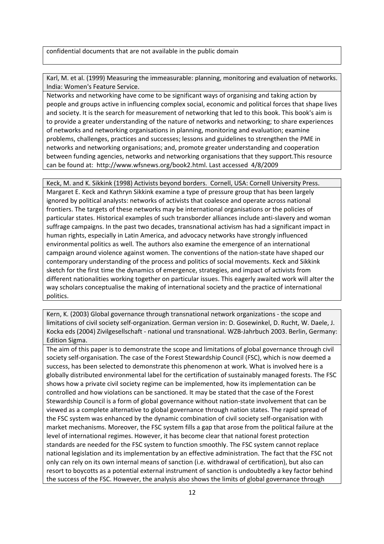confidential documents that are not available in the public domain

Karl, M. et al. (1999) Measuring the immeasurable: planning, monitoring and evaluation of networks. India: Women's Feature Service.

Networks and networking have come to be significant ways of organising and taking action by people and groups active in influencing complex social, economic and political forces that shape lives and society. It is the search for measurement of networking that led to this book. This book's aim is to provide a greater understanding of the nature of networks and networking; to share experiences of networks and networking organisations in planning, monitoring and evaluation; examine problems, challenges, practices and successes; lessons and guidelines to strengthen the PME in networks and networking organisations; and, promote greater understanding and cooperation between funding agencies, networks and networking organisations that they support.This resource can be found at: http://www.wfsnews.org/book2.html. Last accessed 4/8/2009

Keck, M. and K. Sikkink (1998) Activists beyond borders. Cornell, USA: Cornell University Press. Margaret E. Keck and Kathryn Sikkink examine a type of pressure group that has been largely ignored by political analysts: networks of activists that coalesce and operate across national frontiers. The targets of these networks may be international organisations or the policies of particular states. Historical examples of such transborder alliances include anti‐slavery and woman suffrage campaigns. In the past two decades, transnational activism has had a significant impact in human rights, especially in Latin America, and advocacy networks have strongly influenced environmental politics as well. The authors also examine the emergence of an international campaign around violence against women. The conventions of the nation‐state have shaped our contemporary understanding of the process and politics of social movements. Keck and Sikkink sketch for the first time the dynamics of emergence, strategies, and impact of activists from different nationalities working together on particular issues. This eagerly awaited work will alter the way scholars conceptualise the making of international society and the practice of international politics.

Kern, K. (2003) Global governance through transnational network organizations - the scope and limitations of civil society self‐organization. German version in: D. Gosewinkel, D. Rucht, W. Daele, J. Kocka eds (2004) Zivilgesellschaft ‐ national und transnational. WZB‐Jahrbuch 2003. Berlin, Germany: Edition Sigma.

The aim of this paper is to demonstrate the scope and limitations of global governance through civil society self-organisation. The case of the Forest Stewardship Council (FSC), which is now deemed a success, has been selected to demonstrate this phenomenon at work. What is involved here is a globally distributed environmental label for the certification of sustainably managed forests. The FSC shows how a private civil society regime can be implemented, how its implementation can be controlled and how violations can be sanctioned. It may be stated that the case of the Forest Stewardship Council is a form of global governance without nation‐state involvement that can be viewed as a complete alternative to global governance through nation states. The rapid spread of the FSC system was enhanced by the dynamic combination of civil society self‐organisation with market mechanisms. Moreover, the FSC system fills a gap that arose from the political failure at the level of international regimes. However, it has become clear that national forest protection standards are needed for the FSC system to function smoothly. The FSC system cannot replace national legislation and its implementation by an effective administration. The fact that the FSC not only can rely on its own internal means of sanction (i.e. withdrawal of certification), but also can resort to boycotts as a potential external instrument of sanction is undoubtedly a key factor behind the success of the FSC. However, the analysis also shows the limits of global governance through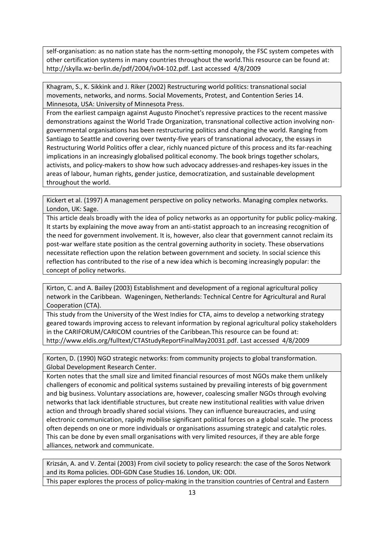self-organisation: as no nation state has the norm-setting monopoly, the FSC system competes with other certification systems in many countries throughout the world.This resource can be found at: http://skylla.wz‐berlin.de/pdf/2004/iv04‐102.pdf. Last accessed 4/8/2009

Khagram, S., K. Sikkink and J. Riker (2002) Restructuring world politics: transnational social movements, networks, and norms. Social Movements, Protest, and Contention Series 14. Minnesota, USA: University of Minnesota Press.

From the earliest campaign against Augusto Pinochet's repressive practices to the recent massive demonstrations against the World Trade Organization, transnational collective action involving non‐ governmental organisations has been restructuring politics and changing the world. Ranging from Santiago to Seattle and covering over twenty‐five years of transnational advocacy, the essays in Restructuring World Politics offer a clear, richly nuanced picture of this process and its far-reaching implications in an increasingly globalised political economy. The book brings together scholars, activists, and policy‐makers to show how such advocacy addresses‐and reshapes‐key issues in the areas of labour, human rights, gender justice, democratization, and sustainable development throughout the world.

Kickert et al. (1997) A management perspective on policy networks. Managing complex networks. London, UK: Sage.

This article deals broadly with the idea of policy networks as an opportunity for public policy-making. It starts by explaining the move away from an anti-statist approach to an increasing recognition of the need for government involvement. It is, however, also clear that government cannot reclaim its post-war welfare state position as the central governing authority in society. These observations necessitate reflection upon the relation between government and society. In social science this reflection has contributed to the rise of a new idea which is becoming increasingly popular: the concept of policy networks.

Kirton, C. and A. Bailey (2003) Establishment and development of a regional agricultural policy network in the Caribbean. Wageningen, Netherlands: Technical Centre for Agricultural and Rural Cooperation (CTA).

This study from the University of the West Indies for CTA, aims to develop a networking strategy geared towards improving access to relevant information by regional agricultural policy stakeholders in the CARIFORUM/CARICOM countries of the Caribbean.This resource can be found at: http://www.eldis.org/fulltext/CTAStudyReportFinalMay20031.pdf. Last accessed 4/8/2009

Korten, D. (1990) NGO strategic networks: from community projects to global transformation. Global Development Research Center.

Korten notes that the small size and limited financial resources of most NGOs make them unlikely challengers of economic and political systems sustained by prevailing interests of big government and big business. Voluntary associations are, however, coalescing smaller NGOs through evolving networks that lack identifiable structures, but create new institutional realities with value driven action and through broadly shared social visions. They can influence bureaucracies, and using electronic communication, rapidly mobilise significant political forces on a global scale. The process often depends on one or more individuals or organisations assuming strategic and catalytic roles. This can be done by even small organisations with very limited resources, if they are able forge alliances, network and communicate.

Krizsán, A. and V. Zentai (2003) From civil society to policy research: the case of the Soros Network and its Roma policies. ODI‐GDN Case Studies 16. London, UK: ODI. This paper explores the process of policy-making in the transition countries of Central and Eastern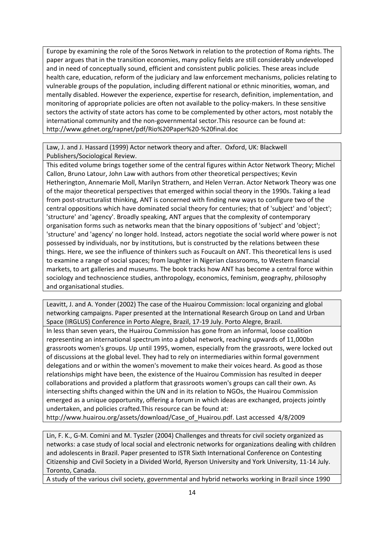Europe by examining the role of the Soros Network in relation to the protection of Roma rights. The paper argues that in the transition economies, many policy fields are still considerably undeveloped and in need of conceptually sound, efficient and consistent public policies. These areas include health care, education, reform of the judiciary and law enforcement mechanisms, policies relating to vulnerable groups of the population, including different national or ethnic minorities, woman, and mentally disabled. However the experience, expertise for research, definition, implementation, and monitoring of appropriate policies are often not available to the policy-makers. In these sensitive sectors the activity of state actors has come to be complemented by other actors, most notably the international community and the non‐governmental sector.This resource can be found at: http://www.gdnet.org/rapnet/pdf/Rio%20Paper%20‐%20final.doc

Law, J. and J. Hassard (1999) Actor network theory and after. Oxford, UK: Blackwell Publishers/Sociological Review.

This edited volume brings together some of the central figures within Actor Network Theory; Michel Callon, Bruno Latour, John Law with authors from other theoretical perspectives; Kevin Hetherington, Annemarie Moll, Marilyn Strathern, and Helen Verran. Actor Network Theory was one of the major theoretical perspectives that emerged within social theory in the 1990s. Taking a lead from post-structuralist thinking, ANT is concerned with finding new ways to configure two of the central oppositions which have dominated social theory for centuries; that of 'subject' and 'object'; 'structure' and 'agency'. Broadly speaking, ANT argues that the complexity of contemporary organisation forms such as networks mean that the binary oppositions of 'subject' and 'object'; 'structure' and 'agency' no longer hold. Instead, actors negotiate the social world where power is not possessed by individuals, nor by institutions, but is constructed by the relations between these things. Here, we see the influence of thinkers such as Foucault on ANT. This theoretical lens is used to examine a range of social spaces; from laughter in Nigerian classrooms, to Western financial markets, to art galleries and museums. The book tracks how ANT has become a central force within sociology and technoscience studies, anthropology, economics, feminism, geography, philosophy and organisational studies.

Leavitt, J. and A. Yonder (2002) The case of the Huairou Commission: local organizing and global networking campaigns. Paper presented at the International Research Group on Land and Urban Space (IRGLUS) Conference in Porto Alegre, Brazil, 17‐19 July. Porto Alegre, Brazil.

In less than seven years, the Huairou Commission has gone from an informal, loose coalition representing an international spectrum into a global network, reaching upwards of 11,000bn grassroots women's groups. Up until 1995, women, especially from the grassroots, were locked out of discussions at the global level. They had to rely on intermediaries within formal government delegations and or within the women's movement to make their voices heard. As good as those relationships might have been, the existence of the Huairou Commission has resulted in deeper collaborations and provided a platform that grassroots women's groups can call their own. As intersecting shifts changed within the UN and in its relation to NGOs, the Huairou Commission emerged as a unique opportunity, offering a forum in which ideas are exchanged, projects jointly undertaken, and policies crafted.This resource can be found at:

http://www.huairou.org/assets/download/Case\_of\_Huairou.pdf. Last accessed 4/8/2009

Lin, F. K., G‐M. Comini and M. Tyszler (2004) Challenges and threats for civil society organized as networks: a case study of local social and electronic networks for organizations dealing with children and adolescents in Brazil. Paper presented to ISTR Sixth International Conference on Contesting Citizenship and Civil Society in a Divided World, Ryerson University and York University, 11‐14 July. Toronto, Canada.

A study of the various civil society, governmental and hybrid networks working in Brazil since 1990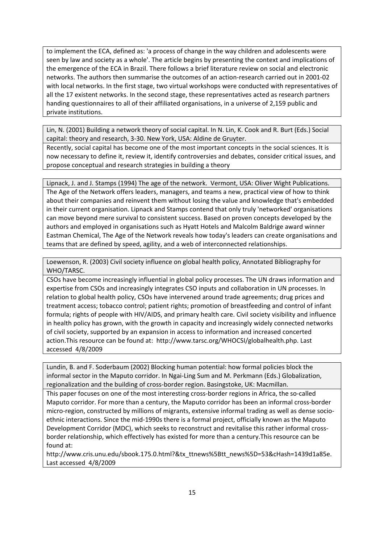to implement the ECA, defined as: 'a process of change in the way children and adolescents were seen by law and society as a whole'. The article begins by presenting the context and implications of the emergence of the ECA in Brazil. There follows a brief literature review on social and electronic networks. The authors then summarise the outcomes of an action‐research carried out in 2001‐02 with local networks. In the first stage, two virtual workshops were conducted with representatives of all the 17 existent networks. In the second stage, these representatives acted as research partners handing questionnaires to all of their affiliated organisations, in a universe of 2,159 public and private institutions.

Lin, N. (2001) Building a network theory of social capital. In N. Lin, K. Cook and R. Burt (Eds.) Social capital: theory and research, 3‐30. New York, USA: Aldine de Gruyter.

Recently, social capital has become one of the most important concepts in the social sciences. It is now necessary to define it, review it, identify controversies and debates, consider critical issues, and propose conceptual and research strategies in building a theory

Lipnack, J. and J. Stamps (1994) The age of the network. Vermont, USA: Oliver Wight Publications. The Age of the Network offers leaders, managers, and teams a new, practical view of how to think about their companies and reinvent them without losing the value and knowledge that's embedded in their current organisation. Lipnack and Stamps contend that only truly 'networked' organisations can move beyond mere survival to consistent success. Based on proven concepts developed by the authors and employed in organisations such as Hyatt Hotels and Malcolm Baldrige award winner Eastman Chemical, The Age of the Network reveals how today's leaders can create organisations and teams that are defined by speed, agility, and a web of interconnected relationships.

Loewenson, R. (2003) Civil society influence on global health policy, Annotated Bibliography for WHO/TARSC.

CSOs have become increasingly influential in global policy processes. The UN draws information and expertise from CSOs and increasingly integrates CSO inputs and collaboration in UN processes. In relation to global health policy, CSOs have intervened around trade agreements; drug prices and treatment access; tobacco control; patient rights; promotion of breastfeeding and control of infant formula; rights of people with HIV/AIDS, and primary health care. Civil society visibility and influence in health policy has grown, with the growth in capacity and increasingly widely connected networks of civil society, supported by an expansion in access to information and increased concerted action.This resource can be found at: http://www.tarsc.org/WHOCSI/globalhealth.php. Last accessed 4/8/2009

Lundin, B. and F. Soderbaum (2002) Blocking human potential: how formal policies block the informal sector in the Maputo corridor. In Ngai‐Ling Sum and M. Perkmann (Eds.) Globalization, regionalization and the building of cross‐border region. Basingstoke, UK: Macmillan.

This paper focuses on one of the most interesting cross-border regions in Africa, the so-called Maputo corridor. For more than a century, the Maputo corridor has been an informal cross‐border micro-region, constructed by millions of migrants, extensive informal trading as well as dense socioethnic interactions. Since the mid‐1990s there is a formal project, officially known as the Maputo Development Corridor (MDC), which seeks to reconstruct and revitalise this rather informal crossborder relationship, which effectively has existed for more than a century.This resource can be found at:

http://www.cris.unu.edu/sbook.175.0.html?&tx\_ttnews%5Btt\_news%5D=53&cHash=1439d1a85e. Last accessed 4/8/2009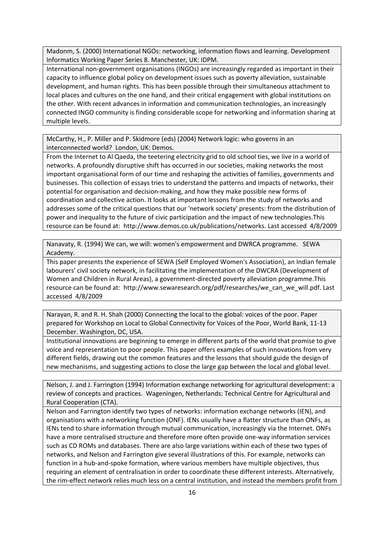Madonm, S. (2000) International NGOs: networking, information flows and learning. Development Informatics Working Paper Series 8. Manchester, UK: IDPM.

International non‐government organisations (INGOs) are increasingly regarded as important in their capacity to influence global policy on development issues such as poverty alleviation, sustainable development, and human rights. This has been possible through their simultaneous attachment to local places and cultures on the one hand, and their critical engagement with global institutions on the other. With recent advances in information and communication technologies, an increasingly connected INGO community is finding considerable scope for networking and information sharing at multiple levels.

McCarthy, H., P. Miller and P. Skidmore (eds) (2004) Network logic: who governs in an interconnected world? London, UK: Demos.

From the Internet to Al Qaeda, the teetering electricity grid to old school ties, we live in a world of networks. A profoundly disruptive shift has occurred in our societies, making networks the most important organisational form of our time and reshaping the activities of families, governments and businesses. This collection of essays tries to understand the patterns and impacts of networks, their potential for organisation and decision‐making, and how they make possible new forms of coordination and collective action. It looks at important lessons from the study of networks and addresses some of the critical questions that our 'network society' presents: from the distribution of power and inequality to the future of civic participation and the impact of new technologies.This resource can be found at: http://www.demos.co.uk/publications/networks. Last accessed 4/8/2009

Nanavaty, R. (1994) We can, we will: women's empowerment and DWRCA programme. SEWA Academy.

This paper presents the experience of SEWA (Self Employed Women's Association), an Indian female labourers' civil society network, in facilitating the implementation of the DWCRA (Development of Women and Children in Rural Areas), a government‐directed poverty alleviation programme.This resource can be found at: http://www.sewaresearch.org/pdf/researches/we\_can\_we\_will.pdf. Last accessed 4/8/2009

Narayan, R. and R. H. Shah (2000) Connecting the local to the global: voices of the poor. Paper prepared for Workshop on Local to Global Connectivity for Voices of the Poor, World Bank, 11‐13 December. Washington, DC, USA.

Institutional innovations are beginning to emerge in different parts of the world that promise to give voice and representation to poor people. This paper offers examples of such innovations from very different fields, drawing out the common features and the lessons that should guide the design of new mechanisms, and suggesting actions to close the large gap between the local and global level.

Nelson, J. and J. Farrington (1994) Information exchange networking for agricultural development: a review of concepts and practices. Wageningen, Netherlands: Technical Centre for Agricultural and Rural Cooperation (CTA).

Nelson and Farrington identify two types of networks: information exchange networks (IEN), and organisations with a networking function (ONF). IENs usually have a flatter structure than ONFs, as IENs tend to share information through mutual communication, increasingly via the Internet. ONFs have a more centralised structure and therefore more often provide one‐way information services such as CD ROMs and databases. There are also large variations within each of these two types of networks, and Nelson and Farrington give several illustrations of this. For example, networks can function in a hub‐and‐spoke formation, where various members have multiple objectives, thus requiring an element of centralisation in order to coordinate these different interests. Alternatively, the rim‐effect network relies much less on a central institution, and instead the members profit from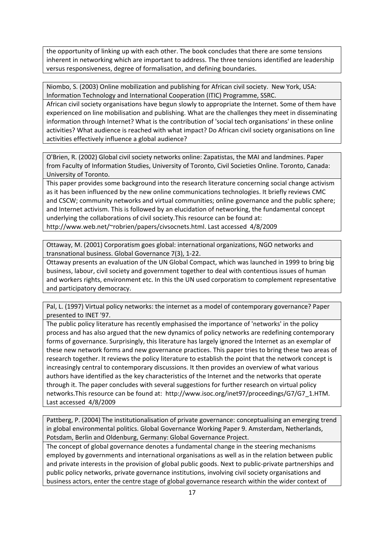the opportunity of linking up with each other. The book concludes that there are some tensions inherent in networking which are important to address. The three tensions identified are leadership versus responsiveness, degree of formalisation, and defining boundaries.

Niombo, S. (2003) Online mobilization and publishing for African civil society. New York, USA: Information Technology and International Cooperation (ITIC) Programme, SSRC.

African civil society organisations have begun slowly to appropriate the Internet. Some of them have experienced on line mobilisation and publishing. What are the challenges they meet in disseminating information through Internet? What is the contribution of 'social tech organisations' in these online activities? What audience is reached with what impact? Do African civil society organisations on line activities effectively influence a global audience?

O'Brien, R. (2002) Global civil society networks online: Zapatistas, the MAI and landmines. Paper from Faculty of Information Studies, University of Toronto, Civil Societies Online. Toronto, Canada: University of Toronto.

This paper provides some background into the research literature concerning social change activism as it has been influenced by the new online communications technologies. It briefly reviews CMC and CSCW; community networks and virtual communities; online governance and the public sphere; and Internet activism. This is followed by an elucidation of networking, the fundamental concept underlying the collaborations of civil society.This resource can be found at:

http://www.web.net/~robrien/papers/civsocnets.html. Last accessed 4/8/2009

Ottaway, M. (2001) Corporatism goes global: international organizations, NGO networks and transnational business. Global Governance 7(3), 1‐22.

Ottaway presents an evaluation of the UN Global Compact, which was launched in 1999 to bring big business, labour, civil society and government together to deal with contentious issues of human and workers rights, environment etc. In this the UN used corporatism to complement representative and participatory democracy.

Pal, L. (1997) Virtual policy networks: the internet as a model of contemporary governance? Paper presented to INET '97.

The public policy literature has recently emphasised the importance of 'networks' in the policy process and has also argued that the new dynamics of policy networks are redefining contemporary forms of governance. Surprisingly, this literature has largely ignored the Internet as an exemplar of these new network forms and new governance practices. This paper tries to bring these two areas of research together. It reviews the policy literature to establish the point that the network concept is increasingly central to contemporary discussions. It then provides an overview of what various authors have identified as the key characteristics of the Internet and the networks that operate through it. The paper concludes with several suggestions for further research on virtual policy networks.This resource can be found at: http://www.isoc.org/inet97/proceedings/G7/G7\_1.HTM. Last accessed 4/8/2009

Pattberg, P. (2004) The institutionalisation of private governance: conceptualising an emerging trend in global environmental politics. Global Governance Working Paper 9. Amsterdam, Netherlands, Potsdam, Berlin and Oldenburg, Germany: Global Governance Project.

The concept of global governance denotes a fundamental change in the steering mechanisms employed by governments and international organisations as well as in the relation between public and private interests in the provision of global public goods. Next to public‐private partnerships and public policy networks, private governance institutions, involving civil society organisations and business actors, enter the centre stage of global governance research within the wider context of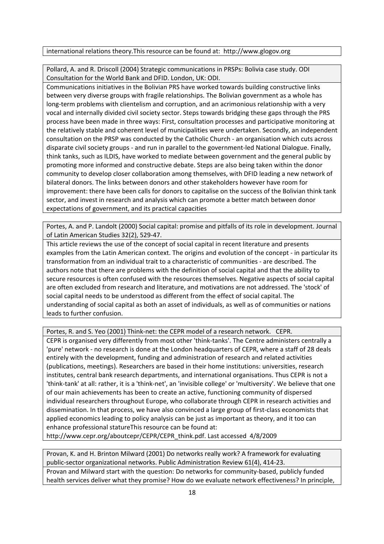## international relations theory.This resource can be found at: http://www.glogov.org

Pollard, A. and R. Driscoll (2004) Strategic communications in PRSPs: Bolivia case study. ODI Consultation for the World Bank and DFID. London, UK: ODI.

Communications initiatives in the Bolivian PRS have worked towards building constructive links between very diverse groups with fragile relationships. The Bolivian government as a whole has long-term problems with clientelism and corruption, and an acrimonious relationship with a very vocal and internally divided civil society sector. Steps towards bridging these gaps through the PRS process have been made in three ways: First, consultation processes and participative monitoring at the relatively stable and coherent level of municipalities were undertaken. Secondly, an independent consultation on the PRSP was conducted by the Catholic Church ‐ an organisation which cuts across disparate civil society groups ‐ and run in parallel to the government‐led National Dialogue. Finally, think tanks, such as ILDIS, have worked to mediate between government and the general public by promoting more informed and constructive debate. Steps are also being taken within the donor community to develop closer collaboration among themselves, with DFID leading a new network of bilateral donors. The links between donors and other stakeholders however have room for improvement: there have been calls for donors to capitalise on the success of the Bolivian think tank sector, and invest in research and analysis which can promote a better match between donor expectations of government, and its practical capacities

Portes, A. and P. Landolt (2000) Social capital: promise and pitfalls of its role in development. Journal of Latin American Studies 32(2), 529‐47.

This article reviews the use of the concept of social capital in recent literature and presents examples from the Latin American context. The origins and evolution of the concept ‐ in particular its transformation from an individual trait to a characteristic of communities ‐ are described. The authors note that there are problems with the definition of social capital and that the ability to secure resources is often confused with the resources themselves. Negative aspects of social capital are often excluded from research and literature, and motivations are not addressed. The 'stock' of social capital needs to be understood as different from the effect of social capital. The understanding of social capital as both an asset of individuals, as well as of communities or nations leads to further confusion.

Portes, R. and S. Yeo (2001) Think‐net: the CEPR model of a research network. CEPR.

CEPR is organised very differently from most other 'think‐tanks'. The Centre administers centrally a 'pure' network ‐ no research is done at the London headquarters of CEPR, where a staff of 28 deals entirely with the development, funding and administration of research and related activities (publications, meetings). Researchers are based in their home institutions: universities, research institutes, central bank research departments, and international organisations. Thus CEPR is not a 'think‐tank' at all: rather, it is a 'think‐net', an 'invisible college' or 'multiversity'. We believe that one of our main achievements has been to create an active, functioning community of dispersed individual researchers throughout Europe, who collaborate through CEPR in research activities and dissemination. In that process, we have also convinced a large group of first-class economists that applied economics leading to policy analysis can be just as important as theory, and it too can enhance professional statureThis resource can be found at:

http://www.cepr.org/aboutcepr/CEPR/CEPR\_think.pdf. Last accessed 4/8/2009

Provan, K. and H. Brinton Milward (2001) Do networks really work? A framework for evaluating public‐sector organizational networks. Public Administration Review 61(4), 414‐23. Provan and Milward start with the question: Do networks for community‐based, publicly funded health services deliver what they promise? How do we evaluate network effectiveness? In principle,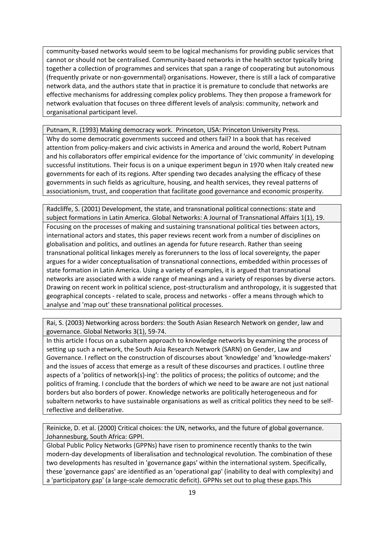community-based networks would seem to be logical mechanisms for providing public services that cannot or should not be centralised. Community‐based networks in the health sector typically bring together a collection of programmes and services that span a range of cooperating but autonomous (frequently private or non‐governmental) organisations. However, there is still a lack of comparative network data, and the authors state that in practice it is premature to conclude that networks are effective mechanisms for addressing complex policy problems. They then propose a framework for network evaluation that focuses on three different levels of analysis: community, network and organisational participant level.

Putnam, R. (1993) Making democracy work. Princeton, USA: Princeton University Press. Why do some democratic governments succeed and others fail? In a book that has received attention from policy-makers and civic activists in America and around the world, Robert Putnam and his collaborators offer empirical evidence for the importance of 'civic community' in developing successful institutions. Their focus is on a unique experiment begun in 1970 when Italy created new governments for each of its regions. After spending two decades analysing the efficacy of these governments in such fields as agriculture, housing, and health services, they reveal patterns of associationism, trust, and cooperation that facilitate good governance and economic prosperity.

Radcliffe, S. (2001) Development, the state, and transnational political connections: state and subject formations in Latin America. Global Networks: A Journal of Transnational Affairs 1(1), 19. Focusing on the processes of making and sustaining transnational political ties between actors, international actors and states, this paper reviews recent work from a number of disciplines on globalisation and politics, and outlines an agenda for future research. Rather than seeing transnational political linkages merely as forerunners to the loss of local sovereignty, the paper argues for a wider conceptualisation of transnational connections, embedded within processes of state formation in Latin America. Using a variety of examples, it is argued that transnational networks are associated with a wide range of meanings and a variety of responses by diverse actors. Drawing on recent work in political science, post‐structuralism and anthropology, it is suggested that geographical concepts ‐ related to scale, process and networks ‐ offer a means through which to analyse and 'map out' these transnational political processes.

Rai, S. (2003) Networking across borders: the South Asian Research Network on gender, law and governance. Global Networks 3(1), 59‐74.

In this article I focus on a subaltern approach to knowledge networks by examining the process of setting up such a network, the South Asia Research Network (SARN) on Gender, Law and Governance. I reflect on the construction of discourses about 'knowledge' and 'knowledge‐makers' and the issues of access that emerge as a result of these discourses and practices. I outline three aspects of a 'politics of network(s)‐ing': the politics of process; the politics of outcome; and the politics of framing. I conclude that the borders of which we need to be aware are not just national borders but also borders of power. Knowledge networks are politically heterogeneous and for subaltern networks to have sustainable organisations as well as critical politics they need to be self‐ reflective and deliberative.

Reinicke, D. et al. (2000) Critical choices: the UN, networks, and the future of global governance. Johannesburg, South Africa: GPPI.

Global Public Policy Networks (GPPNs) have risen to prominence recently thanks to the twin modern‐day developments of liberalisation and technological revolution. The combination of these two developments has resulted in 'governance gaps' within the international system. Specifically, these 'governance gaps' are identified as an 'operational gap' (inability to deal with complexity) and a 'participatory gap' (a large‐scale democratic deficit). GPPNs set out to plug these gaps.This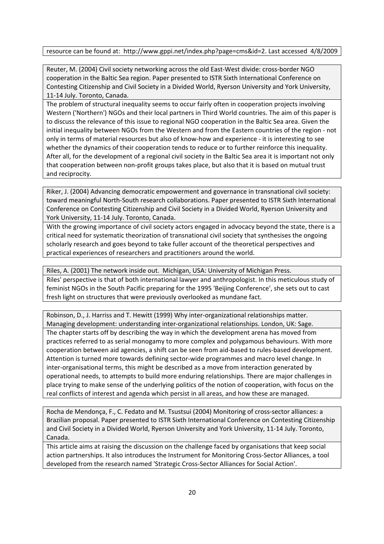## resource can be found at: http://www.gppi.net/index.php?page=cms&id=2. Last accessed 4/8/2009

Reuter, M. (2004) Civil society networking across the old East-West divide: cross-border NGO cooperation in the Baltic Sea region. Paper presented to ISTR Sixth International Conference on Contesting Citizenship and Civil Society in a Divided World, Ryerson University and York University, 11‐14 July. Toronto, Canada.

The problem of structural inequality seems to occur fairly often in cooperation projects involving Western ('Northern') NGOs and their local partners in Third World countries. The aim of this paper is to discuss the relevance of this issue to regional NGO cooperation in the Baltic Sea area. Given the initial inequality between NGOs from the Western and from the Eastern countries of the region ‐ not only in terms of material resources but also of know‐how and experience ‐ it is interesting to see whether the dynamics of their cooperation tends to reduce or to further reinforce this inequality. After all, for the development of a regional civil society in the Baltic Sea area it is important not only that cooperation between non‐profit groups takes place, but also that it is based on mutual trust and reciprocity.

Riker, J. (2004) Advancing democratic empowerment and governance in transnational civil society: toward meaningful North‐South research collaborations. Paper presented to ISTR Sixth International Conference on Contesting Citizenship and Civil Society in a Divided World, Ryerson University and York University, 11‐14 July. Toronto, Canada.

With the growing importance of civil society actors engaged in advocacy beyond the state, there is a critical need for systematic theorization of transnational civil society that synthesises the ongoing scholarly research and goes beyond to take fuller account of the theoretical perspectives and practical experiences of researchers and practitioners around the world.

Riles, A. (2001) The network inside out. Michigan, USA: University of Michigan Press. Riles' perspective is that of both international lawyer and anthropologist. In this meticulous study of feminist NGOs in the South Pacific preparing for the 1995 'Beijing Conference', she sets out to cast fresh light on structures that were previously overlooked as mundane fact.

Robinson, D., J. Harriss and T. Hewitt (1999) Why inter‐organizational relationships matter. Managing development: understanding inter‐organizational relationships. London, UK: Sage. The chapter starts off by describing the way in which the development arena has moved from practices referred to as serial monogamy to more complex and polygamous behaviours. With more cooperation between aid agencies, a shift can be seen from aid‐based to rules‐based development. Attention is turned more towards defining sector‐wide programmes and macro level change. In inter-organisational terms, this might be described as a move from interaction generated by operational needs, to attempts to build more enduring relationships. There are major challenges in place trying to make sense of the underlying politics of the notion of cooperation, with focus on the real conflicts of interest and agenda which persist in all areas, and how these are managed.

Rocha de Mendonça, F., C. Fedato and M. Tsustsui (2004) Monitoring of cross‐sector alliances: a Brazilian proposal. Paper presented to ISTR Sixth International Conference on Contesting Citizenship and Civil Society in a Divided World, Ryerson University and York University, 11‐14 July. Toronto, Canada.

This article aims at raising the discussion on the challenge faced by organisations that keep social action partnerships. It also introduces the Instrument for Monitoring Cross‐Sector Alliances, a tool developed from the research named 'Strategic Cross‐Sector Alliances for Social Action'.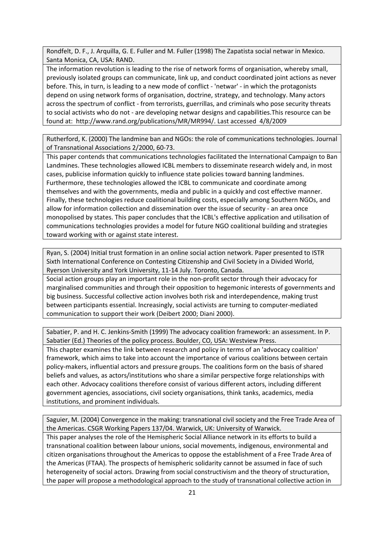Rondfelt, D. F., J. Arquilla, G. E. Fuller and M. Fuller (1998) The Zapatista social netwar in Mexico. Santa Monica, CA, USA: RAND.

The information revolution is leading to the rise of network forms of organisation, whereby small, previously isolated groups can communicate, link up, and conduct coordinated joint actions as never before. This, in turn, is leading to a new mode of conflict ‐ 'netwar' ‐ in which the protagonists depend on using network forms of organisation, doctrine, strategy, and technology. Many actors across the spectrum of conflict ‐ from terrorists, guerrillas, and criminals who pose security threats to social activists who do not ‐ are developing netwar designs and capabilities.This resource can be found at: http://www.rand.org/publications/MR/MR994/. Last accessed 4/8/2009

Rutherford, K. (2000) The landmine ban and NGOs: the role of communications technologies. Journal of Transnational Associations 2/2000, 60‐73.

This paper contends that communications technologies facilitated the International Campaign to Ban Landmines. These technologies allowed ICBL members to disseminate research widely and, in most cases, publicise information quickly to influence state policies toward banning landmines. Furthermore, these technologies allowed the ICBL to communicate and coordinate among themselves and with the governments, media and public in a quickly and cost effective manner. Finally, these technologies reduce coalitional building costs, especially among Southern NGOs, and allow for information collection and dissemination over the issue of security ‐ an area once monopolised by states. This paper concludes that the ICBL's effective application and utilisation of communications technologies provides a model for future NGO coalitional building and strategies toward working with or against state interest.

Ryan, S. (2004) Initial trust formation in an online social action network. Paper presented to ISTR Sixth International Conference on Contesting Citizenship and Civil Society in a Divided World, Ryerson University and York University, 11‐14 July. Toronto, Canada.

Social action groups play an important role in the non‐profit sector through their advocacy for marginalised communities and through their opposition to hegemonic interests of governments and big business. Successful collective action involves both risk and interdependence, making trust between participants essential. Increasingly, social activists are turning to computer‐mediated communication to support their work (Deibert 2000; Diani 2000).

Sabatier, P. and H. C. Jenkins‐Smith (1999) The advocacy coalition framework: an assessment. In P. Sabatier (Ed.) Theories of the policy process. Boulder, CO, USA: Westview Press.

This chapter examines the link between research and policy in terms of an 'advocacy coalition' framework, which aims to take into account the importance of various coalitions between certain policy‐makers, influential actors and pressure groups. The coalitions form on the basis of shared beliefs and values, as actors/institutions who share a similar perspective forge relationships with each other. Advocacy coalitions therefore consist of various different actors, including different government agencies, associations, civil society organisations, think tanks, academics, media institutions, and prominent individuals.

Saguier, M. (2004) Convergence in the making: transnational civil society and the Free Trade Area of the Americas. CSGR Working Papers 137/04. Warwick, UK: University of Warwick.

This paper analyses the role of the Hemispheric Social Alliance network in its efforts to build a transnational coalition between labour unions, social movements, indigenous, environmental and citizen organisations throughout the Americas to oppose the establishment of a Free Trade Area of the Americas (FTAA). The prospects of hemispheric solidarity cannot be assumed in face of such heterogeneity of social actors. Drawing from social constructivism and the theory of structuration, the paper will propose a methodological approach to the study of transnational collective action in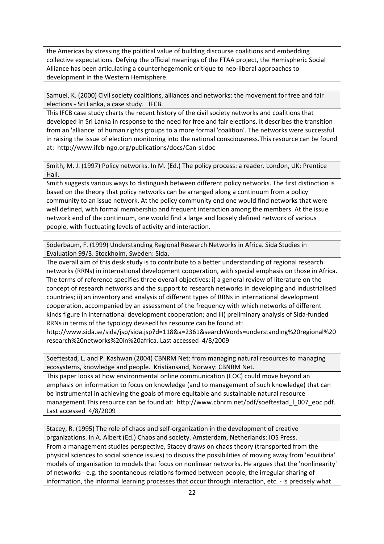the Americas by stressing the political value of building discourse coalitions and embedding collective expectations. Defying the official meanings of the FTAA project, the Hemispheric Social Alliance has been articulating a counterhegemonic critique to neo‐liberal approaches to development in the Western Hemisphere.

Samuel, K. (2000) Civil society coalitions, alliances and networks: the movement for free and fair elections ‐ Sri Lanka, a case study. IFCB.

This IFCB case study charts the recent history of the civil society networks and coalitions that developed in Sri Lanka in response to the need for free and fair elections. It describes the transition from an 'alliance' of human rights groups to a more formal 'coalition'. The networks were successful in raising the issue of election monitoring into the national consciousness.This resource can be found at: http://www.ifcb‐ngo.org/publications/docs/Can‐sl.doc

Smith, M. J. (1997) Policy networks. In M. (Ed.) The policy process: a reader. London, UK: Prentice Hall.

Smith suggests various ways to distinguish between different policy networks. The first distinction is based on the theory that policy networks can be arranged along a continuum from a policy community to an issue network. At the policy community end one would find networks that were well defined, with formal membership and frequent interaction among the members. At the issue network end of the continuum, one would find a large and loosely defined network of various people, with fluctuating levels of activity and interaction.

Söderbaum, F. (1999) Understanding Regional Research Networks in Africa. Sida Studies in Evaluation 99/3. Stockholm, Sweden: Sida.

The overall aim of this desk study is to contribute to a better understanding of regional research networks (RRNs) in international development cooperation, with special emphasis on those in Africa. The terms of reference specifies three overall objectives: i) a general review of literature on the concept of research networks and the support to research networks in developing and industrialised countries; ii) an inventory and analysis of different types of RRNs in international development cooperation, accompanied by an assessment of the frequency with which networks of different kinds figure in international development cooperation; and iii) preliminary analysis of Sida-funded RRNs in terms of the typology devisedThis resource can be found at:

http://www.sida.se/sida/jsp/sida.jsp?d=118&a=2361&searchWords=understanding%20regional%20 research%20networks%20in%20africa. Last accessed 4/8/2009

Soeftestad, L. and P. Kashwan (2004) CBNRM Net: from managing natural resources to managing ecosystems, knowledge and people. Kristiansand, Norway: CBNRM Net.

This paper looks at how environmental online communication (EOC) could move beyond an emphasis on information to focus on knowledge (and to management of such knowledge) that can be instrumental in achieving the goals of more equitable and sustainable natural resource management.This resource can be found at: http://www.cbnrm.net/pdf/soeftestad | 007 eoc.pdf. Last accessed 4/8/2009

Stacey, R. (1995) The role of chaos and self‐organization in the development of creative organizations. In A. Albert (Ed.) Chaos and society. Amsterdam, Netherlands: IOS Press.

From a management studies perspective, Stacey draws on chaos theory (transported from the physical sciences to social science issues) to discuss the possibilities of moving away from 'equilibria' models of organisation to models that focus on nonlinear networks. He argues that the 'nonlinearity' of networks ‐ e.g. the spontaneous relations formed between people, the irregular sharing of information, the informal learning processes that occur through interaction, etc. ‐ is precisely what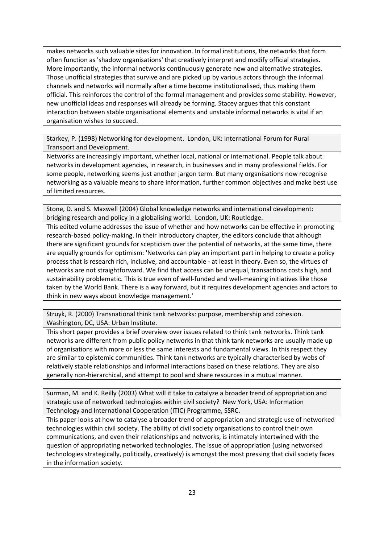makes networks such valuable sites for innovation. In formal institutions, the networks that form often function as 'shadow organisations' that creatively interpret and modify official strategies. More importantly, the informal networks continuously generate new and alternative strategies. Those unofficial strategies that survive and are picked up by various actors through the informal channels and networks will normally after a time become institutionalised, thus making them official. This reinforces the control of the formal management and provides some stability. However, new unofficial ideas and responses will already be forming. Stacey argues that this constant interaction between stable organisational elements and unstable informal networks is vital if an organisation wishes to succeed.

Starkey, P. (1998) Networking for development. London, UK: International Forum for Rural Transport and Development.

Networks are increasingly important, whether local, national or international. People talk about networks in development agencies, in research, in businesses and in many professional fields. For some people, networking seems just another jargon term. But many organisations now recognise networking as a valuable means to share information, further common objectives and make best use of limited resources.

Stone, D. and S. Maxwell (2004) Global knowledge networks and international development: bridging research and policy in a globalising world. London, UK: Routledge.

This edited volume addresses the issue of whether and how networks can be effective in promoting research‐based policy‐making. In their introductory chapter, the editors conclude that although there are significant grounds for scepticism over the potential of networks, at the same time, there are equally grounds for optimism: 'Networks can play an important part in helping to create a policy process that is research rich, inclusive, and accountable ‐ at least in theory. Even so, the virtues of networks are not straightforward. We find that access can be unequal, transactions costs high, and sustainability problematic. This is true even of well‐funded and well‐meaning initiatives like those taken by the World Bank. There is a way forward, but it requires development agencies and actors to think in new ways about knowledge management.'

Struyk, R. (2000) Transnational think tank networks: purpose, membership and cohesion. Washington, DC, USA: Urban Institute.

This short paper provides a brief overview over issues related to think tank networks. Think tank networks are different from public policy networks in that think tank networks are usually made up of organisations with more or less the same interests and fundamental views. In this respect they are similar to epistemic communities. Think tank networks are typically characterised by webs of relatively stable relationships and informal interactions based on these relations. They are also generally non-hierarchical, and attempt to pool and share resources in a mutual manner.

Surman, M. and K. Reilly (2003) What will it take to catalyze a broader trend of appropriation and strategic use of networked technologies within civil society? New York, USA: Information Technology and International Cooperation (ITIC) Programme, SSRC.

This paper looks at how to catalyse a broader trend of appropriation and strategic use of networked technologies within civil society. The ability of civil society organisations to control their own communications, and even their relationships and networks, is intimately intertwined with the question of appropriating networked technologies. The issue of appropriation (using networked technologies strategically, politically, creatively) is amongst the most pressing that civil society faces in the information society.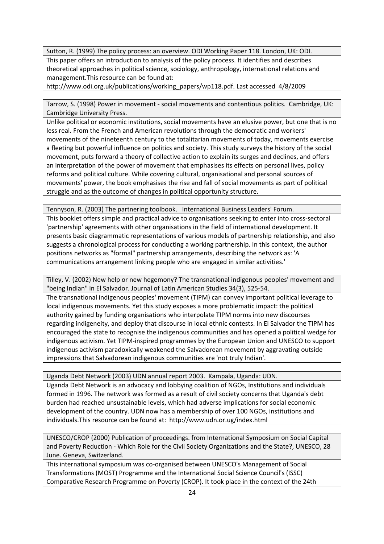Sutton, R. (1999) The policy process: an overview. ODI Working Paper 118. London, UK: ODI. This paper offers an introduction to analysis of the policy process. It identifies and describes theoretical approaches in political science, sociology, anthropology, international relations and management.This resource can be found at:

http://www.odi.org.uk/publications/working\_papers/wp118.pdf. Last accessed 4/8/2009

Tarrow, S. (1998) Power in movement ‐ social movements and contentious politics. Cambridge, UK: Cambridge University Press.

Unlike political or economic institutions, social movements have an elusive power, but one that is no less real. From the French and American revolutions through the democratic and workers' movements of the nineteenth century to the totalitarian movements of today, movements exercise a fleeting but powerful influence on politics and society. This study surveys the history of the social movement, puts forward a theory of collective action to explain its surges and declines, and offers an interpretation of the power of movement that emphasises its effects on personal lives, policy reforms and political culture. While covering cultural, organisational and personal sources of movements' power, the book emphasises the rise and fall of social movements as part of political struggle and as the outcome of changes in political opportunity structure.

Tennyson, R. (2003) The partnering toolbook. International Business Leaders' Forum. This booklet offers simple and practical advice to organisations seeking to enter into cross-sectoral 'partnership' agreements with other organisations in the field of international development. It presents basic diagrammatic representations of various models of partnership relationship, and also suggests a chronological process for conducting a working partnership. In this context, the author positions networks as "formal" partnership arrangements, describing the network as: 'A communications arrangement linking people who are engaged in similar activities.'

Tilley, V. (2002) New help or new hegemony? The transnational indigenous peoples' movement and "being Indian" in El Salvador. Journal of Latin American Studies 34(3), 525‐54.

The transnational indigenous peoples' movement (TIPM) can convey important political leverage to local indigenous movements. Yet this study exposes a more problematic impact: the political authority gained by funding organisations who interpolate TIPM norms into new discourses regarding indigeneity, and deploy that discourse in local ethnic contests. In El Salvador the TIPM has encouraged the state to recognise the indigenous communities and has opened a political wedge for indigenous activism. Yet TIPM‐inspired programmes by the European Union and UNESCO to support indigenous activism paradoxically weakened the Salvadorean movement by aggravating outside impressions that Salvadorean indigenous communities are 'not truly Indian'.

Uganda Debt Network (2003) UDN annual report 2003. Kampala, Uganda: UDN.

Uganda Debt Network is an advocacy and lobbying coalition of NGOs, Institutions and individuals formed in 1996. The network was formed as a result of civil society concerns that Uganda's debt burden had reached unsustainable levels, which had adverse implications for social economic development of the country. UDN now has a membership of over 100 NGOs, institutions and individuals.This resource can be found at: http://www.udn.or.ug/index.html

UNESCO/CROP (2000) Publication of proceedings. from International Symposium on Social Capital and Poverty Reduction ‐ Which Role for the Civil Society Organizations and the State?, UNESCO, 28 June. Geneva, Switzerland.

This international symposium was co-organised between UNESCO's Management of Social Transformations (MOST) Programme and the International Social Science Council's (ISSC) Comparative Research Programme on Poverty (CROP). It took place in the context of the 24th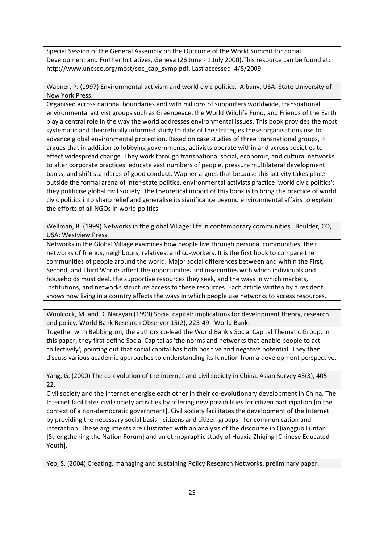Special Session of the General Assembly on the Outcome of the World Summit for Social Development and Further Initiatives, Geneva (26 June ‐ 1 July 2000).This resource can be found at: http://www.unesco.org/most/soc\_cap\_symp.pdf. Last accessed 4/8/2009

Wapner, P. (1997) Environmental activism and world civic politics. Albany, USA: State University of New York Press.

Organised across national boundaries and with millions of supporters worldwide, transnational environmental activist groups such as Greenpeace, the World Wildlife Fund, and Friends of the Earth play a central role in the way the world addresses environmental issues. This book provides the most systematic and theoretically informed study to date of the strategies these organisations use to advance global environmental protection. Based on case studies of three transnational groups, it argues that in addition to lobbying governments, activists operate within and across societies to effect widespread change. They work through transnational social, economic, and cultural networks to alter corporate practices, educate vast numbers of people, pressure multilateral development banks, and shift standards of good conduct. Wapner argues that because this activity takes place outside the formal arena of inter‐state politics, environmental activists practice 'world civic politics'; they politicise global civil society. The theoretical import of this book is to bring the practice of world civic politics into sharp relief and generalise its significance beyond environmental affairs to explain the efforts of all NGOs in world politics.

Wellman, B. (1999) Networks in the global Village: life in contemporary communities. Boulder, CO, USA: Westview Press.

Networks in the Global Village examines how people live through personal communities: their networks of friends, neighbours, relatives, and co-workers. It is the first book to compare the communities of people around the world. Major social differences between and within the First, Second, and Third Worlds affect the opportunities and insecurities with which individuals and households must deal, the supportive resources they seek, and the ways in which markets, institutions, and networks structure access to these resources. Each article written by a resident shows how living in a country affects the ways in which people use networks to access resources.

Woolcock, M. and D. Narayan (1999) Social capital: implications for development theory, research and policy. World Bank Research Observer 15(2), 225‐49. World Bank.

Together with Bebbington, the authors co‐lead the World Bank's Social Capital Thematic Group. In this paper, they first define Social Capital as 'the norms and networks that enable people to act collectively', pointing out that social capital has both positive and negative potential. They then discuss various academic approaches to understanding its function from a development perspective.

Yang, G. (2000) The co-evolution of the internet and civil society in China. Asian Survey 43(3), 405-22.

Civil society and the Internet energise each other in their co‐evolutionary development in China. The Internet facilitates civil society activities by offering new possibilities for citizen participation [in the context of a non‐democratic government]. Civil society facilitates the development of the Internet by providing the necessary social basis ‐ citizens and citizen groups ‐ for communication and interaction. These arguments are illustrated with an analysis of the discourse in Qiangguo Luntan [Strengthening the Nation Forum] and an ethnographic study of Huaxia Zhiqing [Chinese Educated Youth].

Yeo, S. (2004) Creating, managing and sustaining Policy Research Networks, preliminary paper.